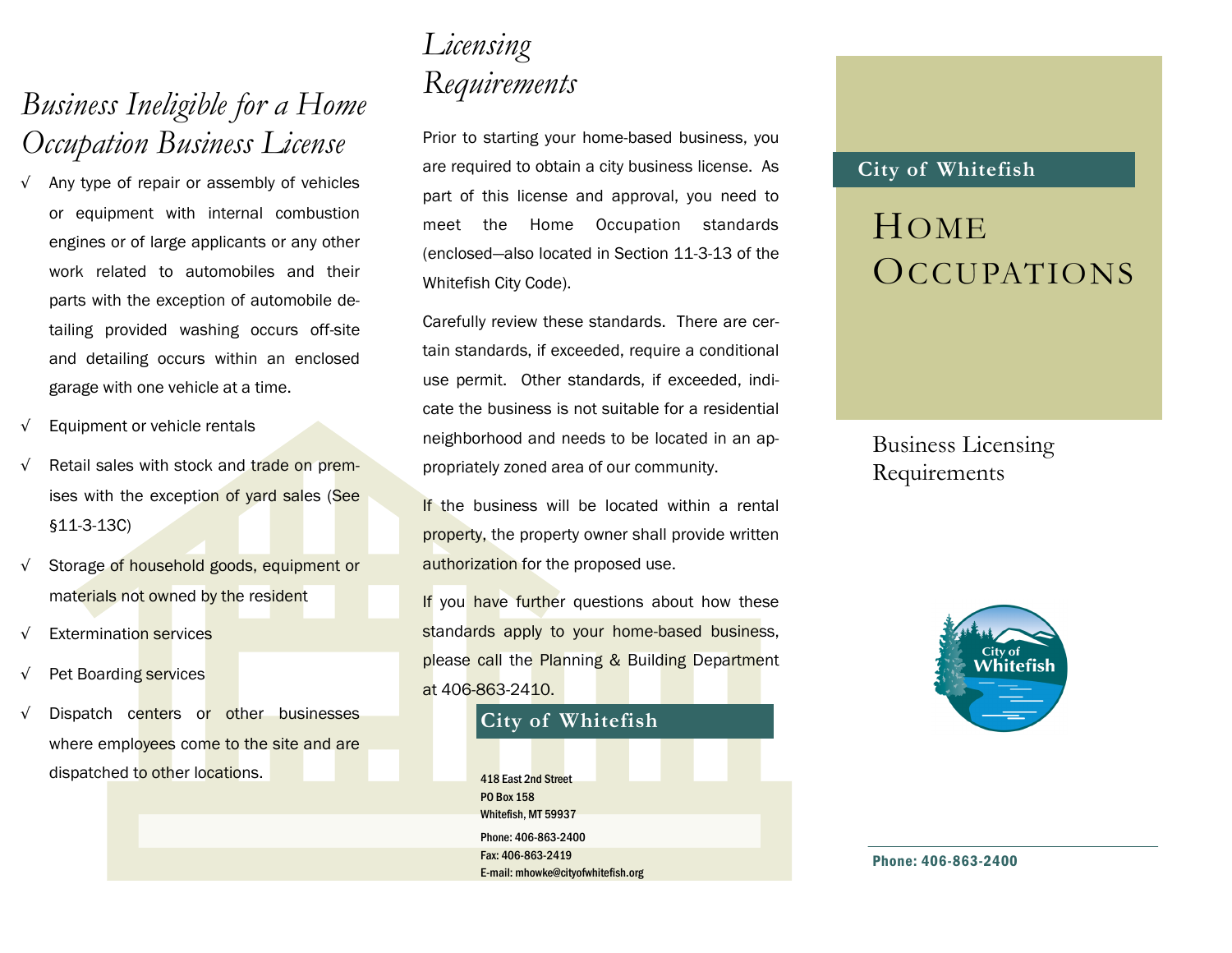## *Business Ineligible for a Home Occupation Business License*

- √ Any type of repair or assembly of vehicles or equipment with internal combustion engines or of large applicants or any other work related to automobiles and their parts with the exception of automobile detailing provided washing occurs off-site and detailing occurs within an enclosed garage with one vehicle at a time.
- √ Equipment or vehicle rentals
- √ Retail sales with stock and trade on premises with the exception of yard sales (See §11-3-13C)
- √ Storage of household goods, equipment or materials not owned by the resident
- Extermination services
- √ Pet Boarding services
- √ Dispatch centers or other businesses where employees come to the site and are dispatched to other locations.

## *Licensing Requirements*

Prior to starting your home-based business, you are required to obtain a city business license. As part of this license and approval, you need to meet the Home Occupation standards (enclosed—also located in Section 11-3-13 of the Whitefish City Code).

Carefully review these standards. There are certain standards, if exceeded, require a conditional use permit. Other standards, if exceeded, indicate the business is not suitable for a residential neighborhood and needs to be located in an appropriately zoned area of our community.

If the business will be located within a rental property, the property owner shall provide written authorization for the proposed use.

If you have further questions about how these standards apply to your home-based business, please call the Planning & Building Department at 406-863-2410.



### **City of Whitefish**

# HOME **OCCUPATIONS**

Business Licensing Requirements



Phone: 406-863-2400